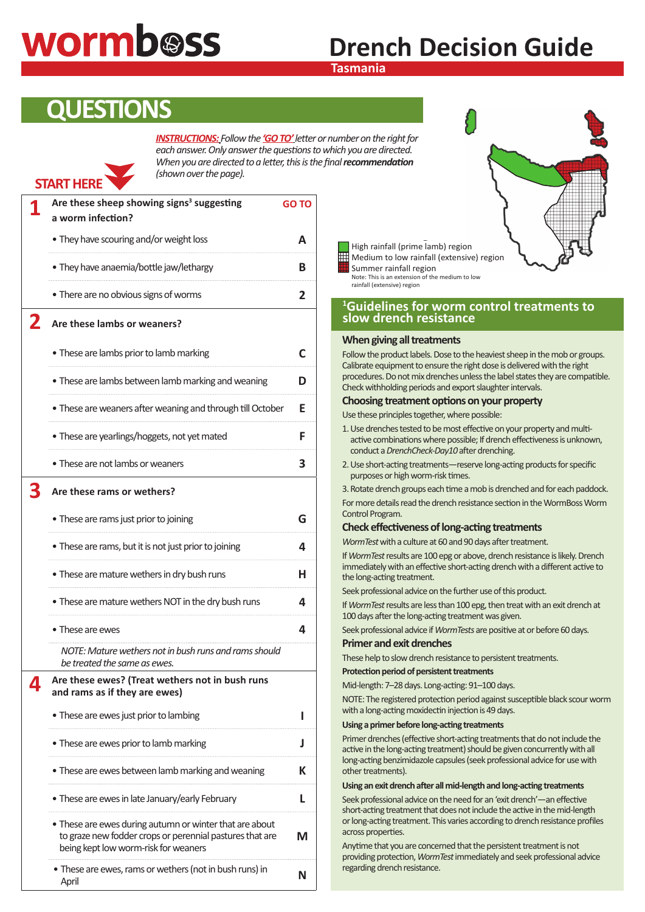# **wormb@ss**

# **Drench Decision Guide**

### **Tasmania**

## **QUESTIONS**

**START HERE**

*INSTRUCTIONS: Follow the 'GO TO'letter or number on the right for each answer. Only answer the questions to which you are directed. When you are directed to a letter, this is the final recommendation (shown over the page).*

| Are these sheep showing signs <sup>3</sup> suggesting<br>a worm infection?                                                                                  | <b>GO TO</b> |
|-------------------------------------------------------------------------------------------------------------------------------------------------------------|--------------|
| • They have scouring and/or weight loss                                                                                                                     | А            |
| • They have anaemia/bottle jaw/lethargy                                                                                                                     | в            |
| • There are no obvious signs of worms                                                                                                                       | 2            |
| Are these lambs or weaners?                                                                                                                                 |              |
| • These are lambs prior to lamb marking                                                                                                                     |              |
| . These are lambs between lamb marking and weaning                                                                                                          | D            |
| . These are weaners after weaning and through till October                                                                                                  | Е            |
| • These are yearlings/hoggets, not yet mated                                                                                                                | F            |
| • These are not lambs or weaners                                                                                                                            | З            |
| Are these rams or wethers?                                                                                                                                  |              |
| • These are rams just prior to joining                                                                                                                      | G            |
| • These are rams, but it is not just prior to joining                                                                                                       | 4            |
| • These are mature wethers in dry bush runs                                                                                                                 | н            |
| • These are mature wethers NOT in the dry bush runs                                                                                                         | 4            |
| • These are ewes                                                                                                                                            | 4            |
| NOTE: Mature wethers not in bush runs and rams should<br>be treated the same as ewes.                                                                       |              |
| Are these ewes? (Treat wethers not in bush runs<br>and rams as if they are ewes)                                                                            |              |
| • These are ewes just prior to lambing                                                                                                                      | ı            |
| • These are ewes prior to lamb marking                                                                                                                      | J            |
| • These are ewes between lamb marking and weaning                                                                                                           | к            |
| . These are ewes in late January/early February                                                                                                             | L            |
| • These are ewes during autumn or winter that are about<br>to graze new fodder crops or perennial pastures that are<br>being kept low worm-risk for weaners | M            |
| • These are ewes, rams or wethers (not in bush runs) in<br>April                                                                                            | Ν            |



 $\mathcal{D}$  rainfall (prime lamb) region rainfall (prime lamb) region rainfall (prime lamb) region rainfall (prime lamb) region rainfall (prime lamb) region rainfall (prime lamb) region rainfall (prime lamb) region rainfall High rainfall (prime lamb) region Medium to low rainfall (extensive) region Summer rainfall region Note: This is an extension of the medium to low

rainfall (extensive) region

#### <sup>1</sup>Guidelines for worm control treatments to rainfall (extensive) region **slow drench resistance**

#### **When giving all treatments**

Follow the product labels. Dose to the heaviest sheep in the mob or groups. Calibrate equipment to ensure the right dose is delivered with the right procedures. Do not mix drenches unless the label states they are compatible. Check withholding periods and export slaughter intervals.

#### **Choosing treatment options on your property**

Use these principles together, where possible:

- 1. Use drenches tested to be most effective on your property and multiactive combinations where possible; If drench effectiveness is unknown, conduct a *DrenchCheck-Day10* after drenching.
- 2. Use short-acting treatments—reserve long-acting products for specific purposes or high worm-risk times.

3. Rotate drench groups each time a mob is drenched and for each paddock. For more details read the drench resistance section in the WormBoss Worm Control Program.

#### **Check effectiveness of long-acting treatments**

*WormTest* with a culture at 60 and 90 days after treatment.

If *WormTest* results are 100 epg or above, drench resistance is likely. Drench immediately with an effective short-acting drench with a different active to the long-acting treatment.

Seek professional advice on the further use of this product.

If *WormTest* results are less than 100 epg, then treat with an exit drench at 100 days after the long-acting treatment was given.

Seek professional advice if *WormTests* are positive at or before 60 days.

#### **Primer and exit drenches**

These help to slow drench resistance to persistent treatments.

#### **Protection period of persistent treatments**

Mid-length: 7–28 days. Long-acting: 91–100 days.

NOTE: The registered protection period against susceptible black scour worm with a long-acting moxidectin injection is 49 days.

#### **Using a primer before long-acting treatments**

Primer drenches (effective short-acting treatments that do not include the active in the long-acting treatment) should be given concurrently with all long-acting benzimidazole capsules (seek professional advice for use with other treatments).

#### **Using an exit drench after all mid-length and long-acting treatments**

Seek professional advice on the need for an 'exit drench'—an effective short-acting treatment that does not include the active in the mid-length or long-acting treatment. This varies according to drench resistance profiles across properties.

Anytime that you are concerned that the persistent treatment is not providing protection, *WormTest* immediately and seek professional advice regarding drench resistance.